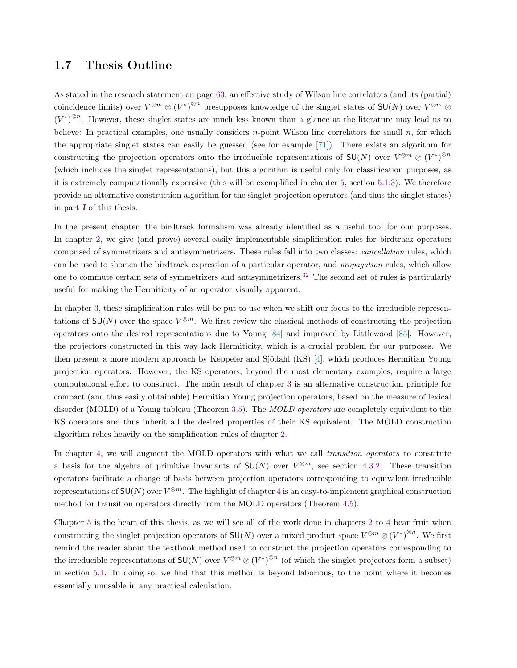## 1.7 Thesis Outline

As stated in the research statement on page 63, an effective study of Wilson line correlators (and its (partial) coincidence limits) over  $V^{\otimes m} \otimes (V^*)^{\otimes n}$  presupposes knowledge of the singlet states of  $SU(N)$  over  $V^{\otimes m} \otimes$  $(V^*)^{\otimes n}$ . However, these singlet states are much less known than a glance at the literature may lead us to believe: In practical examples, one usually considers  $n$ -point Wilson line correlators for small  $n$ , for which the appropriate singlet states can easily be guessed (see for example [71]). There exists an algorithm for constructing the projection operators onto the irreducible representations of  $\mathsf{SU}(N)$  over  $V^{\otimes m} \otimes (V^*)^{\otimes n}$ (which includes the singlet representations), but this algorithm is useful only for classification purposes, as it is extremely computationally expensive (this will be exemplified in chapter 5, section 5.1.3). We therefore provide an alternative construction algorithm for the singlet projection operators (and thus the singlet states) in part  $\bm{I}$  of this thesis.

In the present chapter, the birdtrack formalism was already identified as a useful tool for our purposes. In chapter 2, we give (and prove) several easily implementable simplification rules for birdtrack operators comprised of symmetrizers and antisymmetrizers. These rules fall into two classes: cancellation rules, which can be used to shorten the birdtrack expression of a particular operator, and propagation rules, which allow one to commute certain sets of symmetrizers and antisymmetrizers.<sup>32</sup> The second set of rules is particularly useful for making the Hermiticity of an operator visually apparent.

In chapter 3, these simplification rules will be put to use when we shift our focus to the irreducible representations of  $SU(N)$  over the space  $V^{\otimes m}$ . We first review the classical methods of constructing the projection operators onto the desired representations due to Young [84] and improved by Littlewood [85]. However, the projectors constructed in this way lack Hermiticity, which is a crucial problem for our purposes. We then present a more modern approach by Keppeler and Sjödahl (KS) [4], which produces Hermitian Young projection operators. However, the KS operators, beyond the most elementary examples, require a large computational effort to construct. The main result of chapter 3 is an alternative construction principle for compact (and thus easily obtainable) Hermitian Young projection operators, based on the measure of lexical disorder (MOLD) of a Young tableau (Theorem 3.5). The MOLD operators are completely equivalent to the KS operators and thus inherit all the desired properties of their KS equivalent. The MOLD construction algorithm relies heavily on the simplification rules of chapter 2.

In chapter 4, we will augment the MOLD operators with what we call transition operators to constitute a basis for the algebra of primitive invariants of  $SU(N)$  over  $V^{\otimes m}$ , see section 4.3.2. These transition operators facilitate a change of basis between projection operators corresponding to equivalent irreducible representations of  $SU(N)$  over  $V^{\otimes m}$ . The highlight of chapter 4 is an easy-to-implement graphical construction method for transition operators directly from the MOLD operators (Theorem 4.5).

Chapter 5 is the heart of this thesis, as we will see all of the work done in chapters 2 to 4 bear fruit when constructing the singlet projection operators of  $SU(N)$  over a mixed product space  $V^{\otimes m} \otimes (V^*)^{\otimes n}$ . We first remind the reader about the textbook method used to construct the projection operators corresponding to the irreducible representations of  $SU(N)$  over  $V^{\otimes m} \otimes (V^*)^{\otimes n}$  (of which the singlet projectors form a subset) in section 5.1. In doing so, we find that this method is beyond laborious, to the point where it becomes essentially unusable in any practical calculation.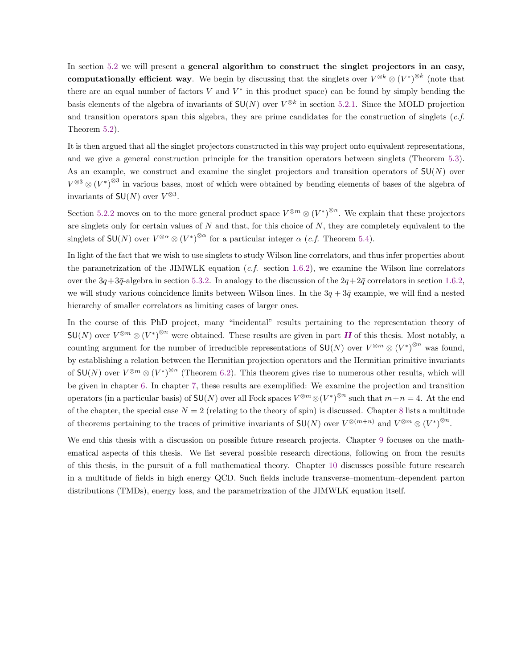In section 5.2 we will present a **general algorithm to construct the singlet projectors in an easy,** computationally efficient way. We begin by discussing that the singlets over  $V^{\otimes k} \otimes (V^*)^{\otimes k}$  (note that there are an equal number of factors V and  $V^*$  in this product space) can be found by simply bending the basis elements of the algebra of invariants of  $SU(N)$  over  $V^{\otimes k}$  in section 5.2.1. Since the MOLD projection and transition operators span this algebra, they are prime candidates for the construction of singlets  $(c.f.$ Theorem 5.2).

It is then argued that all the singlet projectors constructed in this way project onto equivalent representations, and we give a general construction principle for the transition operators between singlets (Theorem 5.3). As an example, we construct and examine the singlet projectors and transition operators of  $SU(N)$  over  $V^{\otimes 3} \otimes (V^*)^{\otimes 3}$  in various bases, most of which were obtained by bending elements of bases of the algebra of invariants of  $SU(N)$  over  $V^{\otimes 3}$ .

Section 5.2.2 moves on to the more general product space  $V^{\otimes m} \otimes (V^*)^{\otimes n}$ . We explain that these projectors are singlets only for certain values of  $N$  and that, for this choice of  $N$ , they are completely equivalent to the singlets of  $\mathsf{SU}(N)$  over  $V^{\otimes \alpha} \otimes (V^*)^{\otimes \alpha}$  for a particular integer  $\alpha$  (*c.f.* Theorem 5.4).

In light of the fact that we wish to use singlets to study Wilson line correlators, and thus infer properties about the parametrization of the JIMWLK equation  $(c.f.$  section 1.6.2), we examine the Wilson line correlators over the  $3q+3\bar{q}$ -algebra in section 5.3.2. In analogy to the discussion of the  $2q+2\bar{q}$  correlators in section 1.6.2, we will study various coincidence limits between Wilson lines. In the  $3q + 3\bar{q}$  example, we will find a nested hierarchy of smaller correlators as limiting cases of larger ones.

In the course of this PhD project, many "incidental" results pertaining to the representation theory of  $\mathsf{SU}(N)$  over  $V^{\otimes m}\otimes (V^*)^{\otimes n}$  were obtained. These results are given in part  $\bm{H}$  of this thesis. Most notably, a counting argument for the number of irreducible representations of  $\mathsf{SU}(N)$  over  $V^{\otimes m} \otimes (V^*)^{\otimes n}$  was found, by establishing a relation between the Hermitian projection operators and the Hermitian primitive invariants of  $SU(N)$  over  $V^{\otimes m} \otimes (V^*)^{\otimes n}$  (Theorem 6.2). This theorem gives rise to numerous other results, which will be given in chapter 6. In chapter 7, these results are exemplified: We examine the projection and transition operators (in a particular basis) of  $SU(N)$  over all Fock spaces  $V^{\otimes m} \otimes (V^*)^{\otimes n}$  such that  $m+n=4$ . At the end of the chapter, the special case  $N = 2$  (relating to the theory of spin) is discussed. Chapter 8 lists a multitude of theorems pertaining to the traces of primitive invariants of  $\mathsf{SU}(N)$  over  $V^{\otimes (m+n)}$  and  $V^{\otimes m} \otimes (V^*)^{\otimes n}$ .

We end this thesis with a discussion on possible future research projects. Chapter 9 focuses on the mathematical aspects of this thesis. We list several possible research directions, following on from the results of this thesis, in the pursuit of a full mathematical theory. Chapter 10 discusses possible future research in a multitude of fields in high energy QCD. Such fields include transverse–momentum–dependent parton distributions (TMDs), energy loss, and the parametrization of the JIMWLK equation itself.